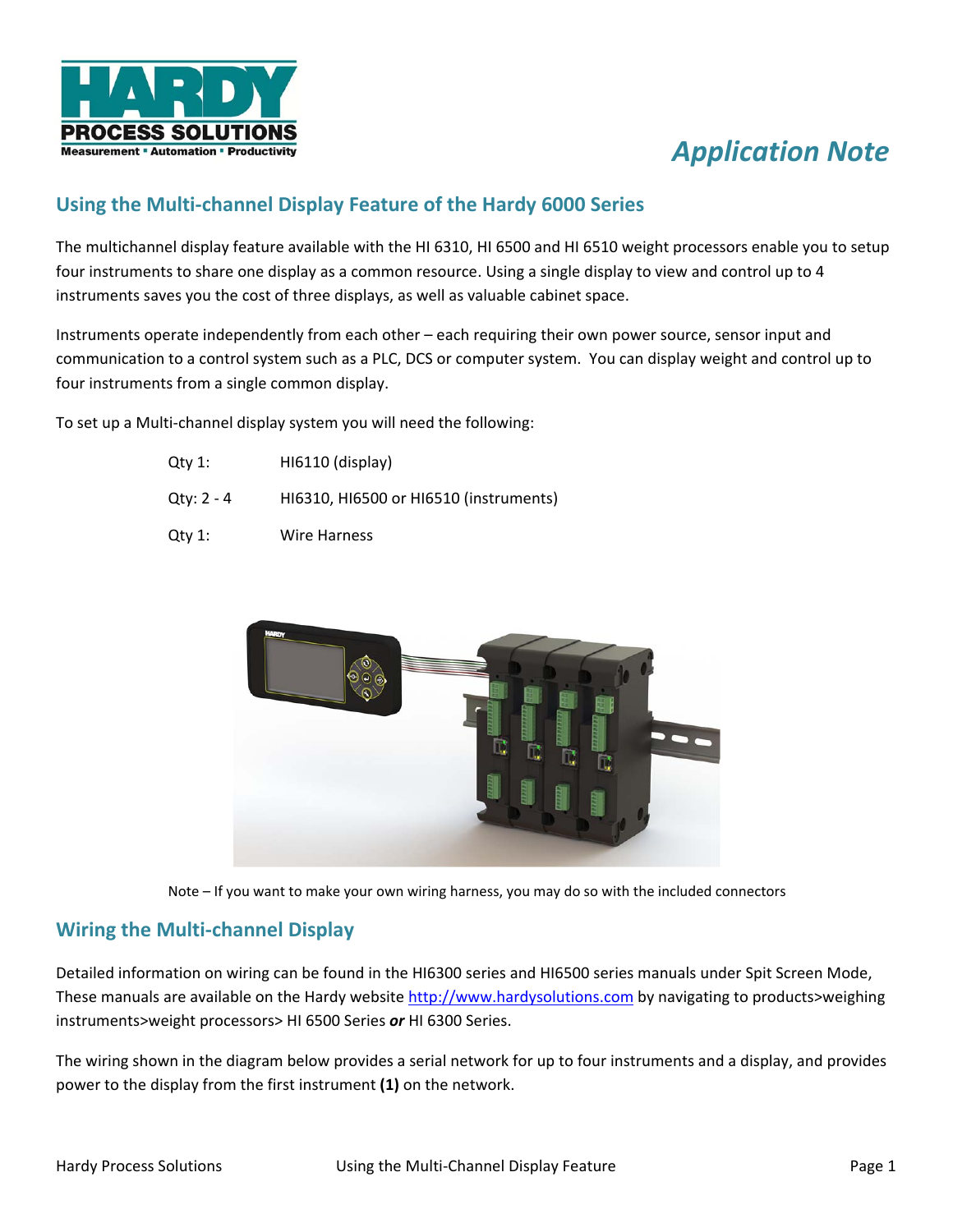

# *Application Note*

## **Using the Multi-channel Display Feature of the Hardy 6000 Series**

The multichannel display feature available with the HI 6310, HI 6500 and HI 6510 weight processors enable you to setup four instruments to share one display as a common resource. Using a single display to view and control up to 4 instruments saves you the cost of three displays, as well as valuable cabinet space.

Instruments operate independently from each other – each requiring their own power source, sensor input and communication to a control system such as a PLC, DCS or computer system. You can display weight and control up to four instruments from a single common display.

To set up a Multi-channel display system you will need the following:

| Qtv 1:     | HI6110 (display)                       |
|------------|----------------------------------------|
| Qty: 2 - 4 | HI6310, HI6500 or HI6510 (instruments) |
| Qty 1:     | Wire Harness                           |





# **Wiring the Multi-channel Display**

Detailed information on wiring can be found in the HI6300 series and HI6500 series manuals under Spit Screen Mode, These manuals are available on the Hardy website http://www.hardysolutions.com by navigating to products>weighing instruments>weight processors> HI 6500 Series *or* HI 6300 Series.

The wiring shown in the diagram below provides a serial network for up to four instruments and a display, and provides power to the display from the first instrument **(1)** on the network.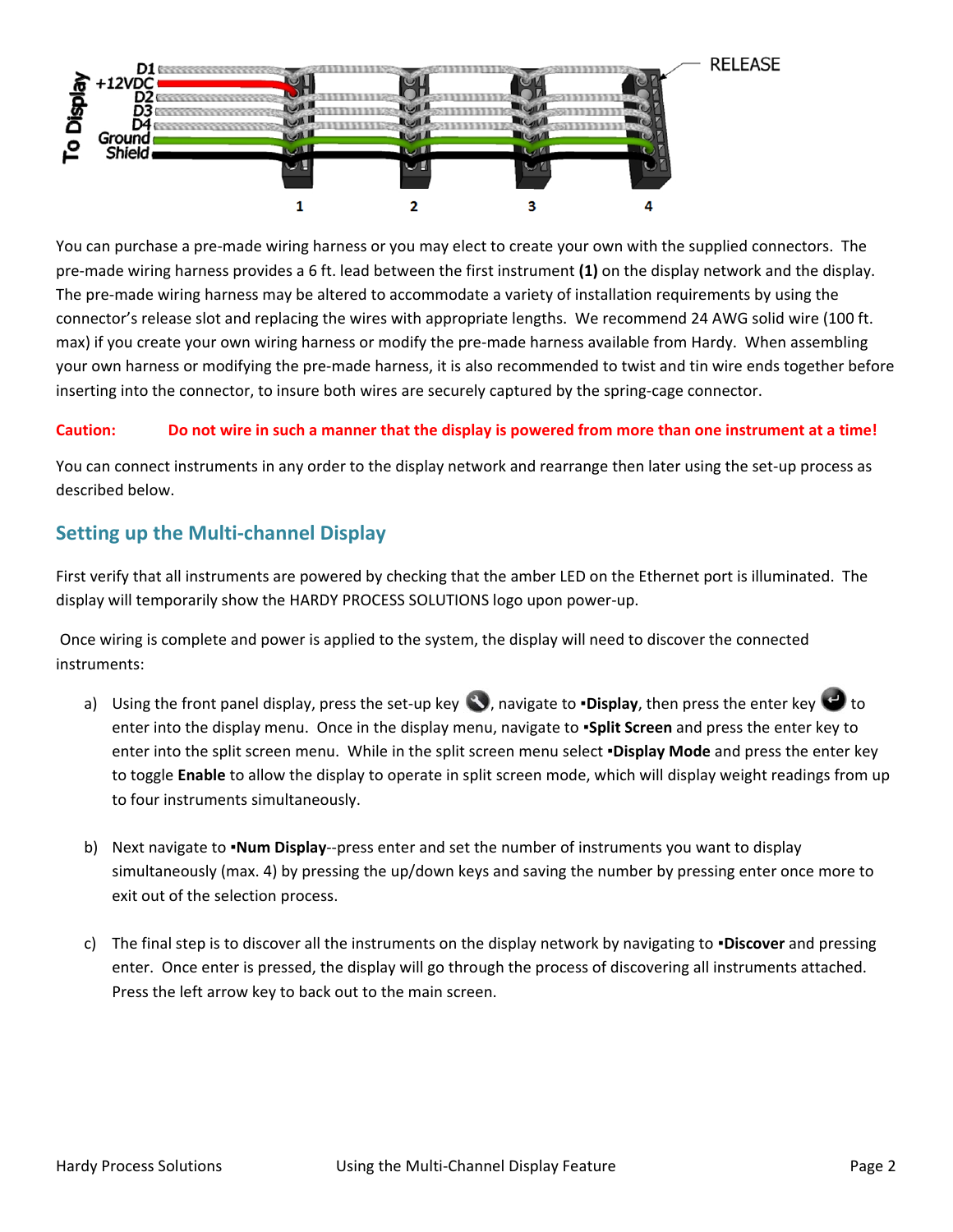

You can purchase a pre-made wiring harness or you may elect to create your own with the supplied connectors. The pre-made wiring harness provides a 6 ft. lead between the first instrument **(1)** on the display network and the display. The pre-made wiring harness may be altered to accommodate a variety of installation requirements by using the connector's release slot and replacing the wires with appropriate lengths. We recommend 24 AWG solid wire (100 ft. max) if you create your own wiring harness or modify the pre-made harness available from Hardy. When assembling your own harness or modifying the pre-made harness, it is also recommended to twist and tin wire ends together before inserting into the connector, to insure both wires are securely captured by the spring-cage connector.

#### **Caution: Do not wire in such a manner that the display is powered from more than one instrument at a time!**

You can connect instruments in any order to the display network and rearrange then later using the set-up process as described below.

# **Setting up the Multi-channel Display**

First verify that all instruments are powered by checking that the amber LED on the Ethernet port is illuminated. The display will temporarily show the HARDY PROCESS SOLUTIONS logo upon power-up.

 Once wiring is complete and power is applied to the system, the display will need to discover the connected instruments:

- a) Using the front panel display, press the set-up key **3**, navigate to **·Display**, then press the enter key **the** to enter into the display menu. Once in the display menu, navigate to ▪**Split Screen** and press the enter key to enter into the split screen menu. While in the split screen menu select ▪**Display Mode** and press the enter key to toggle **Enable** to allow the display to operate in split screen mode, which will display weight readings from up to four instruments simultaneously.
- b) Next navigate to ▪**Num Display**--press enter and set the number of instruments you want to display simultaneously (max. 4) by pressing the up/down keys and saving the number by pressing enter once more to exit out of the selection process.
- c) The final step is to discover all the instruments on the display network by navigating to ▪**Discover** and pressing enter. Once enter is pressed, the display will go through the process of discovering all instruments attached. Press the left arrow key to back out to the main screen.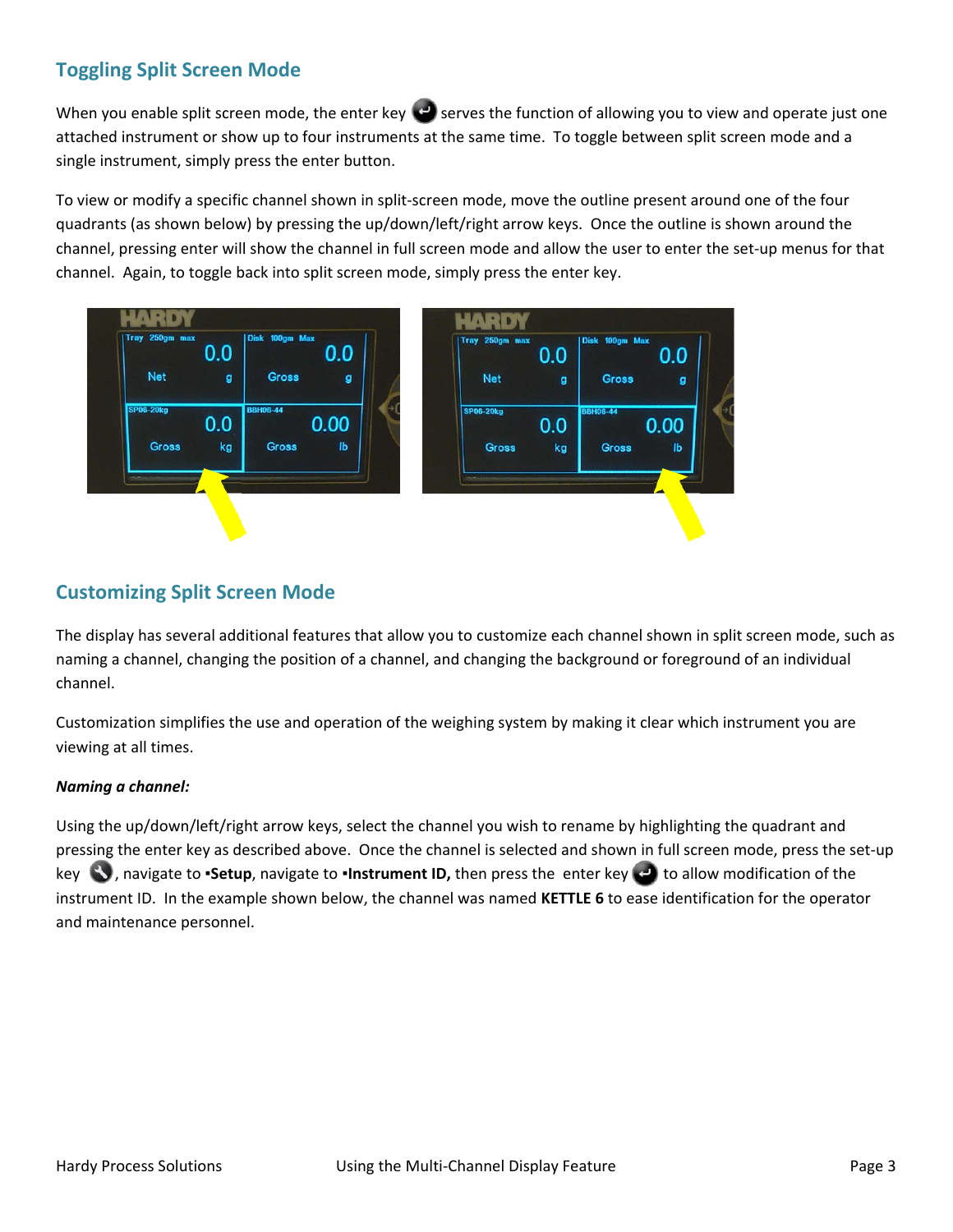# **Toggling Split Screen Mode**

When you enable split screen mode, the enter key  $\bigodot$  serves the function of allowing you to view and operate just one attached instrument or show up to four instruments at the same time. To toggle between split screen mode and a single instrument, simply press the enter button.

To view or modify a specific channel shown in split-screen mode, move the outline present around one of the four quadrants (as shown below) by pressing the up/down/left/right arrow keys. Once the outline is shown around the channel, pressing enter will show the channel in full screen mode and allow the user to enter the set-up menus for that channel. Again, to toggle back into split screen mode, simply press the enter key.



### **Customizing Split Screen Mode**

The display has several additional features that allow you to customize each channel shown in split screen mode, such as naming a channel, changing the position of a channel, and changing the background or foreground of an individual channel.

Customization simplifies the use and operation of the weighing system by making it clear which instrument you are viewing at all times.

### *Naming a channel:*

Using the up/down/left/right arrow keys, select the channel you wish to rename by highlighting the quadrant and pressing the enter key as described above. Once the channel is selected and shown in full screen mode, press the set-up key  $\bullet$ , navigate to **·Setup**, navigate to **·Instrument ID,** then press the enter key **the** to allow modification of the instrument ID. In the example shown below, the channel was named **KETTLE 6** to ease identification for the operator and maintenance personnel.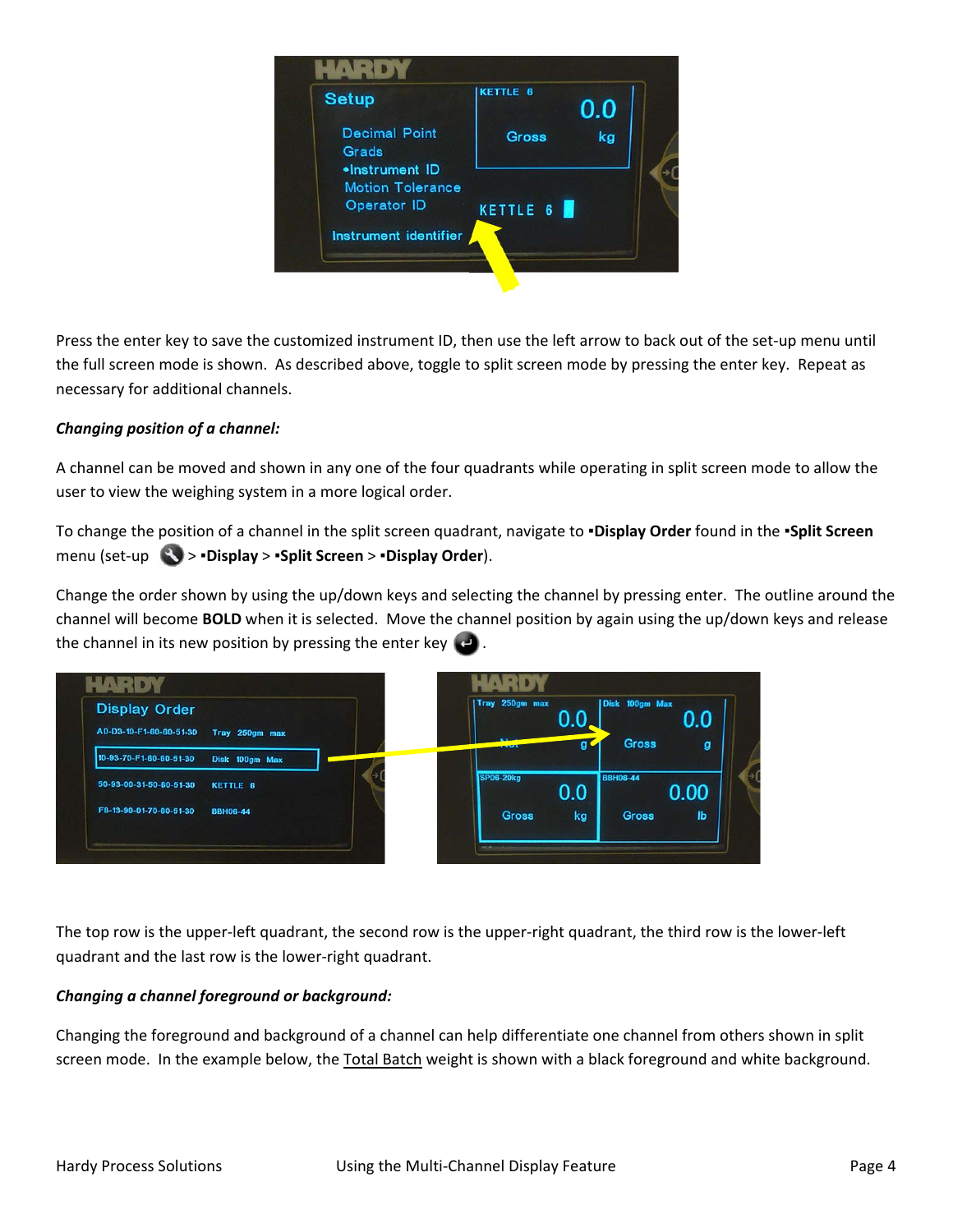

Press the enter key to save the customized instrument ID, then use the left arrow to back out of the set-up menu until the full screen mode is shown. As described above, toggle to split screen mode by pressing the enter key. Repeat as necessary for additional channels.

### *Changing position of a channel:*

A channel can be moved and shown in any one of the four quadrants while operating in split screen mode to allow the user to view the weighing system in a more logical order.

To change the position of a channel in the split screen quadrant, navigate to **▪Display Order** found in the **▪Split Screen** menu (set-up > **▪Display** > **▪Split Screen** > **▪Display Order**).

Change the order shown by using the up/down keys and selecting the channel by pressing enter. The outline around the channel will become **BOLD** when it is selected. Move the channel position by again using the up/down keys and release the channel in its new position by pressing the enter key  $\Box$ .



The top row is the upper-left quadrant, the second row is the upper-right quadrant, the third row is the lower-left quadrant and the last row is the lower-right quadrant.

### *Changing a channel foreground or background:*

Changing the foreground and background of a channel can help differentiate one channel from others shown in split screen mode. In the example below, the Total Batch weight is shown with a black foreground and white background.